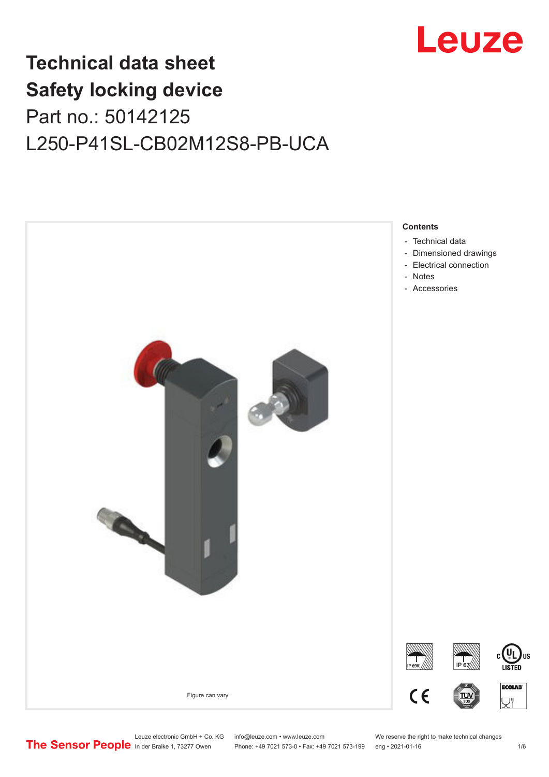

## **Technical data sheet Safety locking device** Part no.: 50142125 L250-P41SL-CB02M12S8-PB-UCA



Leuze electronic GmbH + Co. KG info@leuze.com • www.leuze.com We reserve the right to make technical changes<br>
The Sensor People in der Braike 1, 73277 Owen Phone: +49 7021 573-0 • Fax: +49 7021 573-199 eng • 2021-01-16

Phone: +49 7021 573-0 • Fax: +49 7021 573-199 eng • 2021-01-16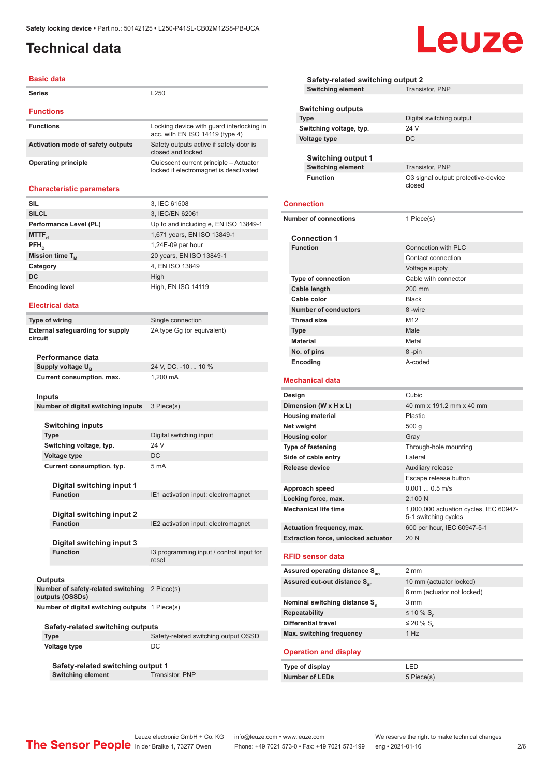## <span id="page-1-0"></span>**Technical data**

#### **Basic data**

| <b>Series</b>                     | L250                                                                             |
|-----------------------------------|----------------------------------------------------------------------------------|
| <b>Functions</b>                  |                                                                                  |
| <b>Functions</b>                  | Locking device with quard interlocking in<br>acc. with EN ISO 14119 (type 4)     |
| Activation mode of safety outputs | Safety outputs active if safety door is<br>closed and locked                     |
| Operating principle               | Quiescent current principle - Actuator<br>locked if electromagnet is deactivated |

#### **Characteristic parameters**

| <b>SIL</b>             | 3, IEC 61508                          |
|------------------------|---------------------------------------|
| <b>SILCL</b>           | 3, IEC/EN 62061                       |
| Performance Level (PL) | Up to and including e, EN ISO 13849-1 |
| MTTF <sub>d</sub>      | 1,671 years, EN ISO 13849-1           |
| $PFH_n$                | $1,24E-09$ per hour                   |
| Mission time $T_{M}$   | 20 years, EN ISO 13849-1              |
| Category               | 4, EN ISO 13849                       |
| DC                     | High                                  |
| <b>Encoding level</b>  | High, EN ISO 14119                    |

#### **Electrical data**

**Type of wiring** Single connection **External safeguarding for supply circuit**

2A type Gg (or equivalent)

**Performance data** Supply voltage U<sub>B</sub> **Current consumption, max.** 1,200 mA

24 V, DC, -10 ... 10 %

#### **Inputs**

| Number of digital switching inputs 3 Piece(s) |
|-----------------------------------------------|
|-----------------------------------------------|

#### **Switching inputs**

**Type** Digital switching input **Switching voltage, typ.** 24 V **Voltage type** DC **Current consumption, typ.** 5 mA

**Digital switching input 1 Function IE1** activation input: electromagnet

**Digital switching input 2 Function** IE2 activation input: electromagnet

**Digital switching input 3**

**Function** I3 programming input / control input for reset

#### **Outputs**

**Number of safety-related switching**  2 Piece(s) **outputs (OSSDs) Number of digital switching outputs** 1 Piece(s)

| Safety-related switching outputs |                                      |  |  |  |
|----------------------------------|--------------------------------------|--|--|--|
| <b>Type</b>                      | Safety-related switching output OSSD |  |  |  |
| Voltage type                     | DC.                                  |  |  |  |

**Safety-related switching output 1 Switching element** Transistor, PNP

**Safety-related switching output 2<br>Switching element** Transistor, PNP **Switching element Switching outputs Type** Digital switching output **Switching voltage, typ.** 24 V **Voltage type** DC **Switching output 1 Switching element** Transistor, PNP **Function** O3 signal output: protective-device closed **Connection Number of connections** 1 Piece(s) **Connection 1 Function** Connection with PLC Contact connection Voltage supply **Type of connection** Cable with connector **Cable length** 200 mm **Cable color** Black **Number of conductors** 8 -wire **Thread size** M12 **Type** Male **Material** Metal **No. of pins** 8 -pin **Encoding** A-coded **Mechanical data Designation Cubic Dimension (W x H x L)** 40 mm x 191.2 mm x 40 mm **Housing material** Plastic **Net weight** 500 g **Housing color** Gray **Type of fastening** Through-hole mounting **Side of cable entry Lateral Release device Auxiliary release** Escape release button **Approach speed** 0.001 ... 0.5 m/s Locking force, max. 2,100 N Mechanical life time **1,000,000** actuation cycles, IEC 60947-5-1 switching cycles **Actuation frequency, max.** 600 per hour, IEC 60947-5-1 **Extraction force, unlocked actuator** 20 N **RFID sensor data Assured operating distance Sao** 2 mm Assured cut-out distance S<sub>ar</sub> 10 mm (actuator locked) 6 mm (actuator not locked) **Nominal switching distance S<sup>n</sup>** 3 mm **Repeatability**  $\leq 10\% S_n$ <br>**Differential travel**  $\leq 20\% S_n$ **Differential travel** 

#### **Operation and display**

**Max. switching frequency** 1 Hz

| Type of display       | I FD.      |
|-----------------------|------------|
| <b>Number of LEDs</b> | 5 Piece(s) |

# Leuze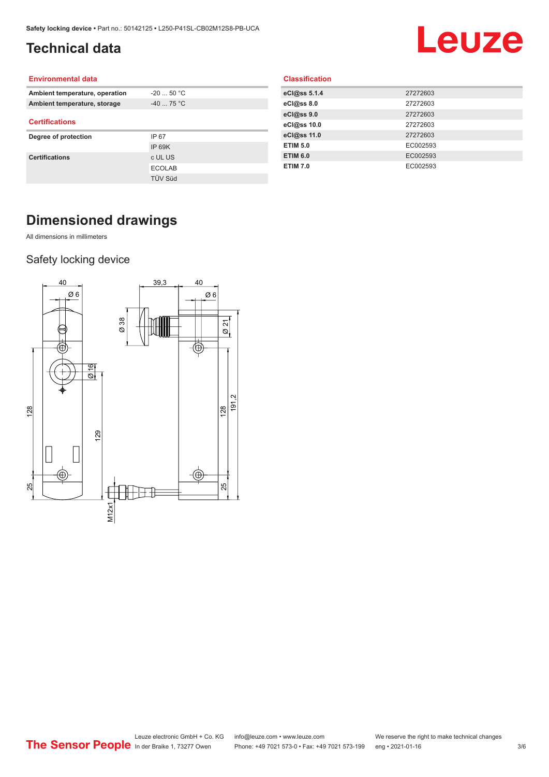## <span id="page-2-0"></span>**Technical data**

# Leuze

#### **Environmental data**

| Ambient temperature, operation | $-20$ 50 °C    |  |  |
|--------------------------------|----------------|--|--|
| Ambient temperature, storage   | $-4075 °C$     |  |  |
| <b>Certifications</b>          |                |  |  |
| Degree of protection           | IP 67          |  |  |
|                                | <b>IP 69K</b>  |  |  |
| <b>Certifications</b>          | c UL US        |  |  |
|                                | <b>ECOLAB</b>  |  |  |
|                                | <b>TÜV Süd</b> |  |  |
|                                |                |  |  |

| eCl@ss 5.1.4    | 27272603 |
|-----------------|----------|
| eCl@ss 8.0      | 27272603 |
| eCl@ss 9.0      | 27272603 |
| eCl@ss 10.0     | 27272603 |
| eCl@ss 11.0     | 27272603 |
| <b>ETIM 5.0</b> | EC002593 |
| <b>ETIM 6.0</b> | EC002593 |
| <b>ETIM 7.0</b> | EC002593 |

**Classification**

## **Dimensioned drawings**

All dimensions in millimeters

### Safety locking device

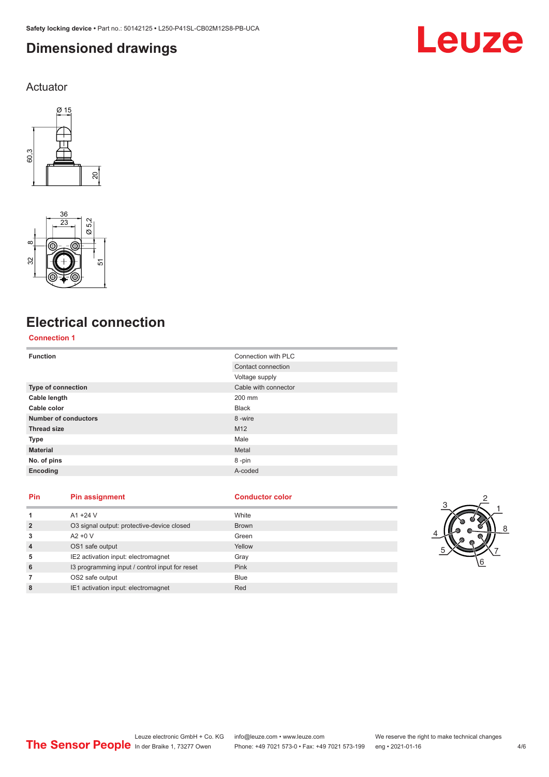## <span id="page-3-0"></span>**Dimensioned drawings**

Leuze

Actuator





## **Electrical connection**

### **Connection 1**

| <b>Function</b>             | Connection with PLC  |
|-----------------------------|----------------------|
|                             | Contact connection   |
|                             | Voltage supply       |
| Type of connection          | Cable with connector |
| Cable length                | 200 mm               |
| Cable color                 | <b>Black</b>         |
| <b>Number of conductors</b> | 8-wire               |
| <b>Thread size</b>          | M12                  |
| <b>Type</b>                 | Male                 |
| <b>Material</b>             | Metal                |
| No. of pins                 | 8-pin                |
| Encoding                    | A-coded              |

#### **Pin Pin assignment Conductor Conductor Color**

| 1              | $A1 + 24V$                                     | White        |
|----------------|------------------------------------------------|--------------|
| $\overline{2}$ | O3 signal output: protective-device closed     | <b>Brown</b> |
| 3              | $A2 + 0V$                                      | Green        |
| 4              | OS1 safe output                                | Yellow       |
| 5              | IE2 activation input: electromagnet            | Gray         |
| 6              | 13 programming input / control input for reset | <b>Pink</b>  |
|                | OS2 safe output                                | <b>Blue</b>  |
| 8              | IE1 activation input: electromagnet            | Red          |

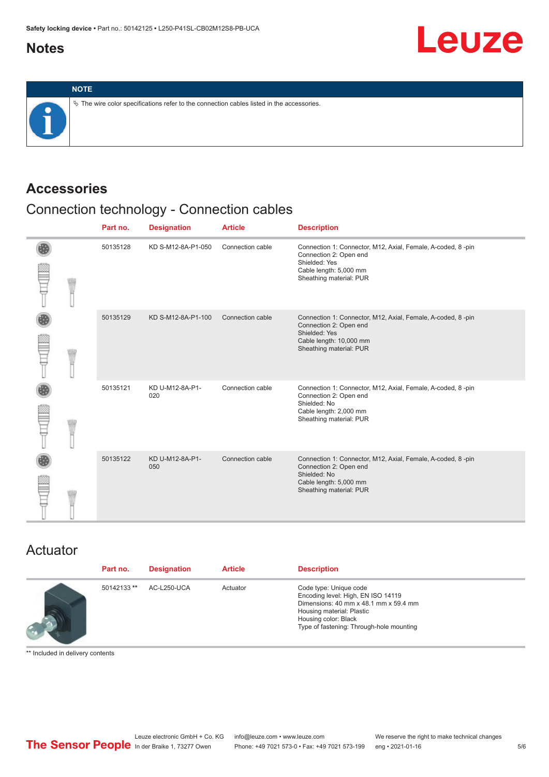## <span id="page-4-0"></span>**Notes**



## **Accessories**

## Connection technology - Connection cables

|  | Part no. | <b>Designation</b>     | <b>Article</b>   | <b>Description</b>                                                                                                                                           |
|--|----------|------------------------|------------------|--------------------------------------------------------------------------------------------------------------------------------------------------------------|
|  | 50135128 | KD S-M12-8A-P1-050     | Connection cable | Connection 1: Connector, M12, Axial, Female, A-coded, 8-pin<br>Connection 2: Open end<br>Shielded: Yes<br>Cable length: 5,000 mm<br>Sheathing material: PUR  |
|  | 50135129 | KD S-M12-8A-P1-100     | Connection cable | Connection 1: Connector, M12, Axial, Female, A-coded, 8-pin<br>Connection 2: Open end<br>Shielded: Yes<br>Cable length: 10,000 mm<br>Sheathing material: PUR |
|  | 50135121 | KD U-M12-8A-P1-<br>020 | Connection cable | Connection 1: Connector, M12, Axial, Female, A-coded, 8-pin<br>Connection 2: Open end<br>Shielded: No<br>Cable length: 2,000 mm<br>Sheathing material: PUR   |
|  | 50135122 | KD U-M12-8A-P1-<br>050 | Connection cable | Connection 1: Connector, M12, Axial, Female, A-coded, 8-pin<br>Connection 2: Open end<br>Shielded: No<br>Cable length: 5,000 mm<br>Sheathing material: PUR   |

## Actuator

| Part no.    | <b>Designation</b> | <b>Article</b> | <b>Description</b>                                                                                                                                                                                     |
|-------------|--------------------|----------------|--------------------------------------------------------------------------------------------------------------------------------------------------------------------------------------------------------|
| 50142133 ** | AC-L250-UCA        | Actuator       | Code type: Unique code<br>Encoding level: High, EN ISO 14119<br>Dimensions: 40 mm x 48.1 mm x 59.4 mm<br>Housing material: Plastic<br>Housing color: Black<br>Type of fastening: Through-hole mounting |

\*\* Included in delivery contents

**Leuze**